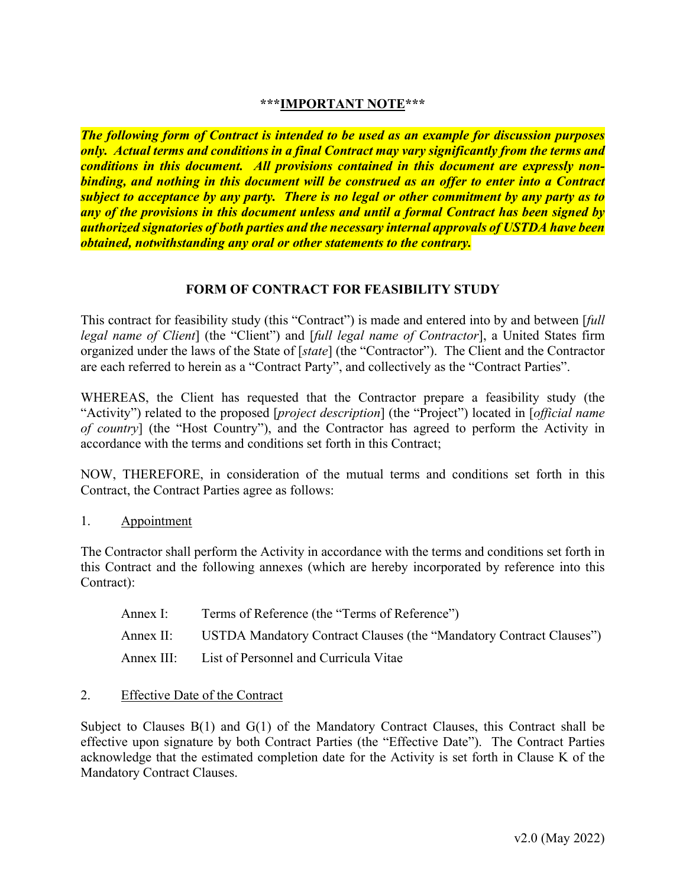# **\*\*\*IMPORTANT NOTE\*\*\***

*The following form of Contract is intended to be used as an example for discussion purposes only. Actual terms and conditions in a final Contract may vary significantly from the terms and conditions in this document. All provisions contained in this document are expressly nonbinding, and nothing in this document will be construed as an offer to enter into a Contract subject to acceptance by any party. There is no legal or other commitment by any party as to any of the provisions in this document unless and until a formal Contract has been signed by authorized signatories of both parties and the necessary internal approvals of USTDA have been obtained, notwithstanding any oral or other statements to the contrary.*

## **FORM OF CONTRACT FOR FEASIBILITY STUDY**

This contract for feasibility study (this "Contract") is made and entered into by and between [*full legal name of Client*] (the "Client") and [*full legal name of Contractor*], a United States firm organized under the laws of the State of [*state*] (the "Contractor"). The Client and the Contractor are each referred to herein as a "Contract Party", and collectively as the "Contract Parties".

WHEREAS, the Client has requested that the Contractor prepare a feasibility study (the "Activity") related to the proposed [*project description*] (the "Project") located in [*official name of country*] (the "Host Country"), and the Contractor has agreed to perform the Activity in accordance with the terms and conditions set forth in this Contract;

NOW, THEREFORE, in consideration of the mutual terms and conditions set forth in this Contract, the Contract Parties agree as follows:

1. Appointment

The Contractor shall perform the Activity in accordance with the terms and conditions set forth in this Contract and the following annexes (which are hereby incorporated by reference into this Contract):

- Annex I: Terms of Reference (the "Terms of Reference") Annex II: USTDA Mandatory Contract Clauses (the "Mandatory Contract Clauses") Annex III: List of Personnel and Curricula Vitae
- 2. Effective Date of the Contract

Subject to Clauses  $B(1)$  and  $G(1)$  of the Mandatory Contract Clauses, this Contract shall be effective upon signature by both Contract Parties (the "Effective Date"). The Contract Parties acknowledge that the estimated completion date for the Activity is set forth in Clause K of the Mandatory Contract Clauses.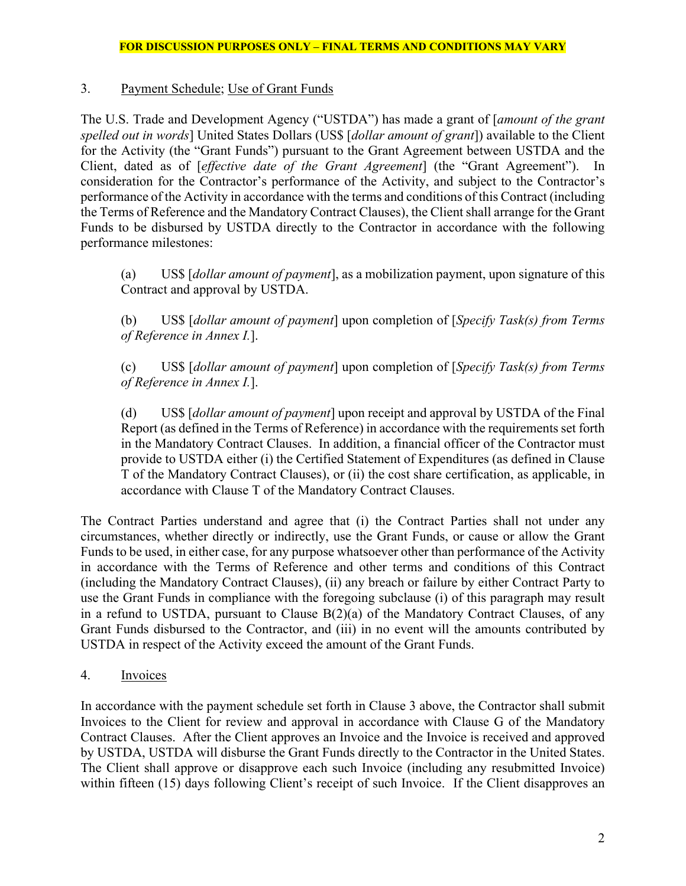# 3. Payment Schedule; Use of Grant Funds

The U.S. Trade and Development Agency ("USTDA") has made a grant of [*amount of the grant spelled out in words*] United States Dollars (US\$ [*dollar amount of grant*]) available to the Client for the Activity (the "Grant Funds") pursuant to the Grant Agreement between USTDA and the Client, dated as of [*effective date of the Grant Agreement*] (the "Grant Agreement"). In consideration for the Contractor's performance of the Activity, and subject to the Contractor's performance of the Activity in accordance with the terms and conditions of this Contract (including the Terms of Reference and the Mandatory Contract Clauses), the Client shall arrange for the Grant Funds to be disbursed by USTDA directly to the Contractor in accordance with the following performance milestones:

(a) US\$ [*dollar amount of payment*], as a mobilization payment, upon signature of this Contract and approval by USTDA.

(b) US\$ [*dollar amount of payment*] upon completion of [*Specify Task(s) from Terms of Reference in Annex I.*].

(c) US\$ [*dollar amount of payment*] upon completion of [*Specify Task(s) from Terms of Reference in Annex I.*].

(d) US\$ [*dollar amount of payment*] upon receipt and approval by USTDA of the Final Report (as defined in the Terms of Reference) in accordance with the requirements set forth in the Mandatory Contract Clauses. In addition, a financial officer of the Contractor must provide to USTDA either (i) the Certified Statement of Expenditures (as defined in Clause T of the Mandatory Contract Clauses), or (ii) the cost share certification, as applicable, in accordance with Clause T of the Mandatory Contract Clauses.

The Contract Parties understand and agree that (i) the Contract Parties shall not under any circumstances, whether directly or indirectly, use the Grant Funds, or cause or allow the Grant Funds to be used, in either case, for any purpose whatsoever other than performance of the Activity in accordance with the Terms of Reference and other terms and conditions of this Contract (including the Mandatory Contract Clauses), (ii) any breach or failure by either Contract Party to use the Grant Funds in compliance with the foregoing subclause (i) of this paragraph may result in a refund to USTDA, pursuant to Clause B(2)(a) of the Mandatory Contract Clauses, of any Grant Funds disbursed to the Contractor, and (iii) in no event will the amounts contributed by USTDA in respect of the Activity exceed the amount of the Grant Funds.

4. Invoices

In accordance with the payment schedule set forth in Clause 3 above, the Contractor shall submit Invoices to the Client for review and approval in accordance with Clause G of the Mandatory Contract Clauses. After the Client approves an Invoice and the Invoice is received and approved by USTDA, USTDA will disburse the Grant Funds directly to the Contractor in the United States. The Client shall approve or disapprove each such Invoice (including any resubmitted Invoice) within fifteen (15) days following Client's receipt of such Invoice. If the Client disapproves an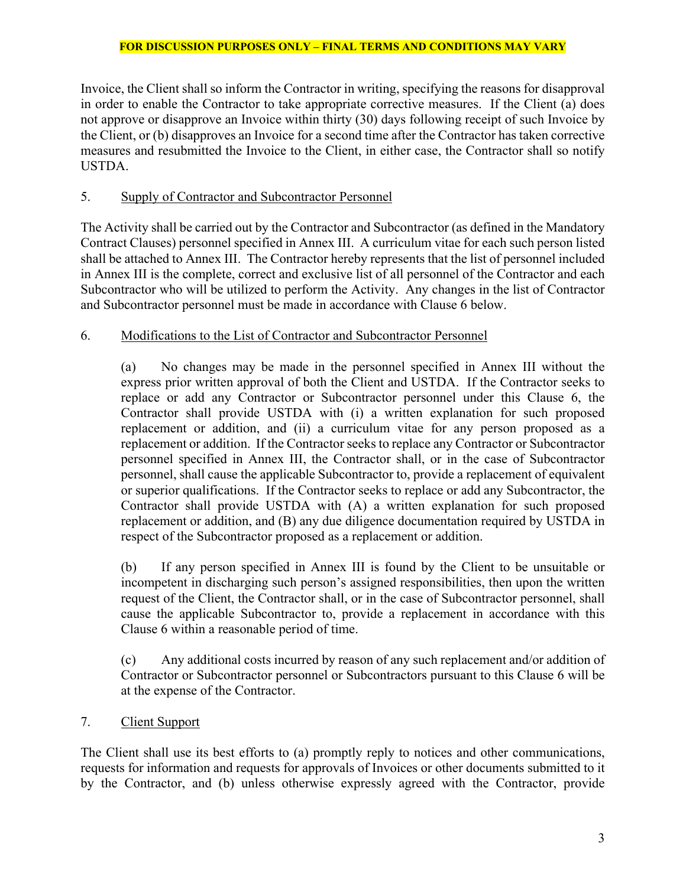Invoice, the Client shall so inform the Contractor in writing, specifying the reasons for disapproval in order to enable the Contractor to take appropriate corrective measures. If the Client (a) does not approve or disapprove an Invoice within thirty (30) days following receipt of such Invoice by the Client, or (b) disapproves an Invoice for a second time after the Contractor has taken corrective measures and resubmitted the Invoice to the Client, in either case, the Contractor shall so notify USTDA.

# 5. Supply of Contractor and Subcontractor Personnel

The Activity shall be carried out by the Contractor and Subcontractor (as defined in the Mandatory Contract Clauses) personnel specified in Annex III. A curriculum vitae for each such person listed shall be attached to Annex III. The Contractor hereby represents that the list of personnel included in Annex III is the complete, correct and exclusive list of all personnel of the Contractor and each Subcontractor who will be utilized to perform the Activity. Any changes in the list of Contractor and Subcontractor personnel must be made in accordance with Clause 6 below.

## 6. Modifications to the List of Contractor and Subcontractor Personnel

(a) No changes may be made in the personnel specified in Annex III without the express prior written approval of both the Client and USTDA. If the Contractor seeks to replace or add any Contractor or Subcontractor personnel under this Clause 6, the Contractor shall provide USTDA with (i) a written explanation for such proposed replacement or addition, and (ii) a curriculum vitae for any person proposed as a replacement or addition. If the Contractor seeks to replace any Contractor or Subcontractor personnel specified in Annex III, the Contractor shall, or in the case of Subcontractor personnel, shall cause the applicable Subcontractor to, provide a replacement of equivalent or superior qualifications. If the Contractor seeks to replace or add any Subcontractor, the Contractor shall provide USTDA with (A) a written explanation for such proposed replacement or addition, and (B) any due diligence documentation required by USTDA in respect of the Subcontractor proposed as a replacement or addition.

(b) If any person specified in Annex III is found by the Client to be unsuitable or incompetent in discharging such person's assigned responsibilities, then upon the written request of the Client, the Contractor shall, or in the case of Subcontractor personnel, shall cause the applicable Subcontractor to, provide a replacement in accordance with this Clause 6 within a reasonable period of time.

(c) Any additional costs incurred by reason of any such replacement and/or addition of Contractor or Subcontractor personnel or Subcontractors pursuant to this Clause 6 will be at the expense of the Contractor.

7. Client Support

The Client shall use its best efforts to (a) promptly reply to notices and other communications, requests for information and requests for approvals of Invoices or other documents submitted to it by the Contractor, and (b) unless otherwise expressly agreed with the Contractor, provide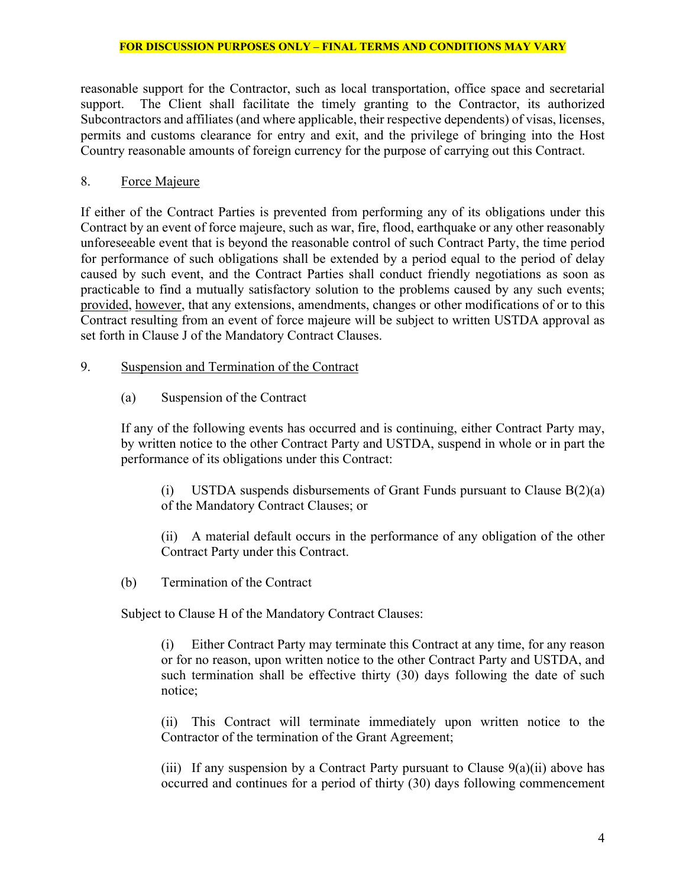reasonable support for the Contractor, such as local transportation, office space and secretarial support. The Client shall facilitate the timely granting to the Contractor, its authorized Subcontractors and affiliates (and where applicable, their respective dependents) of visas, licenses, permits and customs clearance for entry and exit, and the privilege of bringing into the Host Country reasonable amounts of foreign currency for the purpose of carrying out this Contract.

### 8. Force Majeure

If either of the Contract Parties is prevented from performing any of its obligations under this Contract by an event of force majeure, such as war, fire, flood, earthquake or any other reasonably unforeseeable event that is beyond the reasonable control of such Contract Party, the time period for performance of such obligations shall be extended by a period equal to the period of delay caused by such event, and the Contract Parties shall conduct friendly negotiations as soon as practicable to find a mutually satisfactory solution to the problems caused by any such events; provided, however, that any extensions, amendments, changes or other modifications of or to this Contract resulting from an event of force majeure will be subject to written USTDA approval as set forth in Clause J of the Mandatory Contract Clauses.

### 9. Suspension and Termination of the Contract

(a) Suspension of the Contract

If any of the following events has occurred and is continuing, either Contract Party may, by written notice to the other Contract Party and USTDA, suspend in whole or in part the performance of its obligations under this Contract:

(i) USTDA suspends disbursements of Grant Funds pursuant to Clause B(2)(a) of the Mandatory Contract Clauses; or

(ii) A material default occurs in the performance of any obligation of the other Contract Party under this Contract.

(b) Termination of the Contract

Subject to Clause H of the Mandatory Contract Clauses:

(i) Either Contract Party may terminate this Contract at any time, for any reason or for no reason, upon written notice to the other Contract Party and USTDA, and such termination shall be effective thirty (30) days following the date of such notice;

(ii) This Contract will terminate immediately upon written notice to the Contractor of the termination of the Grant Agreement;

(iii) If any suspension by a Contract Party pursuant to Clause  $9(a)(ii)$  above has occurred and continues for a period of thirty (30) days following commencement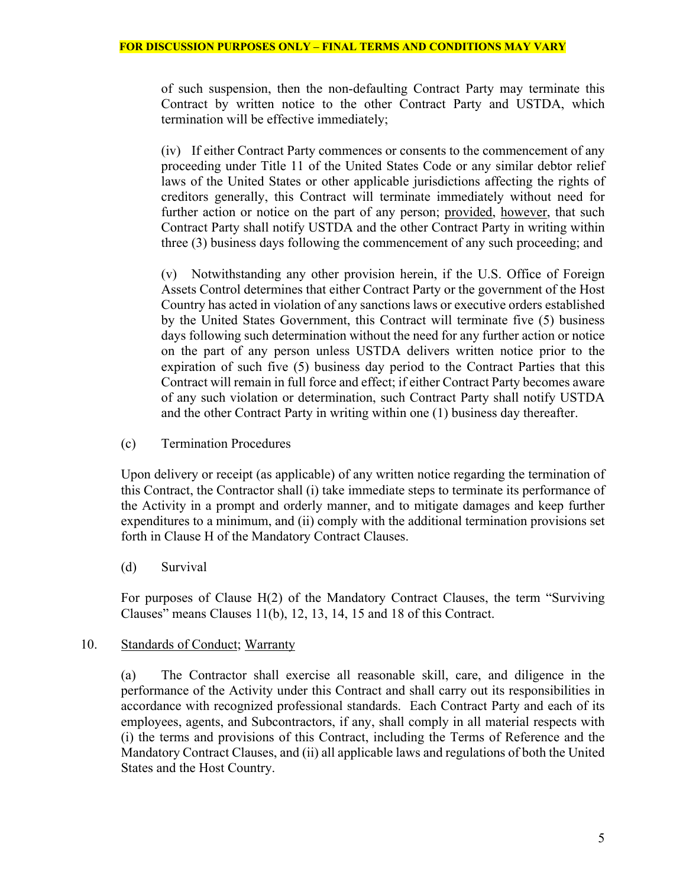of such suspension, then the non-defaulting Contract Party may terminate this Contract by written notice to the other Contract Party and USTDA, which termination will be effective immediately;

(iv) If either Contract Party commences or consents to the commencement of any proceeding under Title 11 of the United States Code or any similar debtor relief laws of the United States or other applicable jurisdictions affecting the rights of creditors generally, this Contract will terminate immediately without need for further action or notice on the part of any person; provided, however, that such Contract Party shall notify USTDA and the other Contract Party in writing within three (3) business days following the commencement of any such proceeding; and

(v) Notwithstanding any other provision herein, if the U.S. Office of Foreign Assets Control determines that either Contract Party or the government of the Host Country has acted in violation of any sanctions laws or executive orders established by the United States Government, this Contract will terminate five (5) business days following such determination without the need for any further action or notice on the part of any person unless USTDA delivers written notice prior to the expiration of such five (5) business day period to the Contract Parties that this Contract will remain in full force and effect; if either Contract Party becomes aware of any such violation or determination, such Contract Party shall notify USTDA and the other Contract Party in writing within one (1) business day thereafter.

(c) Termination Procedures

Upon delivery or receipt (as applicable) of any written notice regarding the termination of this Contract, the Contractor shall (i) take immediate steps to terminate its performance of the Activity in a prompt and orderly manner, and to mitigate damages and keep further expenditures to a minimum, and (ii) comply with the additional termination provisions set forth in Clause H of the Mandatory Contract Clauses.

(d) Survival

For purposes of Clause H(2) of the Mandatory Contract Clauses, the term "Surviving Clauses" means Clauses 11(b), 12, 13, 14, 15 and 18 of this Contract.

## 10. Standards of Conduct; Warranty

(a) The Contractor shall exercise all reasonable skill, care, and diligence in the performance of the Activity under this Contract and shall carry out its responsibilities in accordance with recognized professional standards. Each Contract Party and each of its employees, agents, and Subcontractors, if any, shall comply in all material respects with (i) the terms and provisions of this Contract, including the Terms of Reference and the Mandatory Contract Clauses, and (ii) all applicable laws and regulations of both the United States and the Host Country.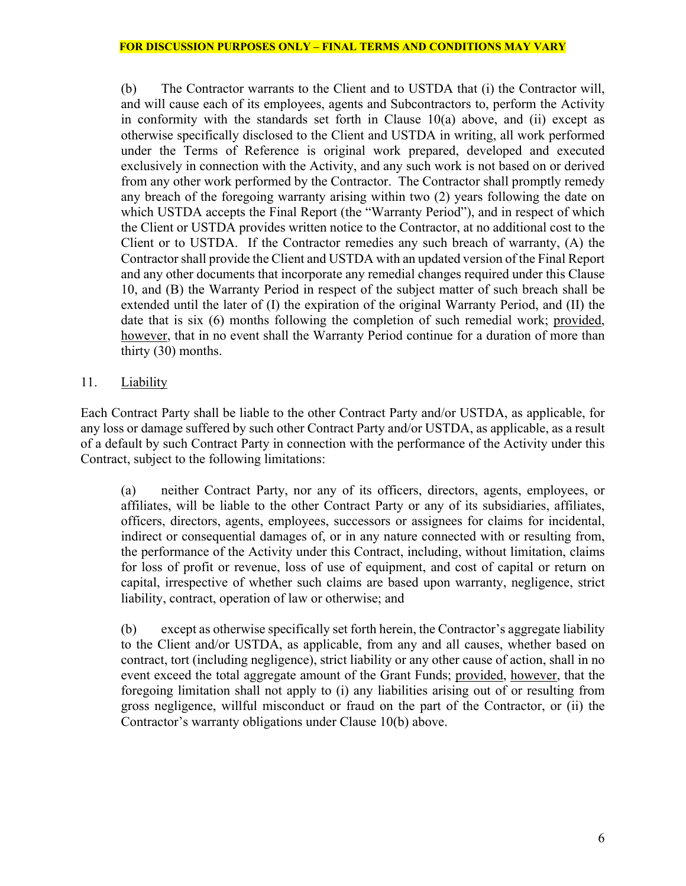(b) The Contractor warrants to the Client and to USTDA that (i) the Contractor will, and will cause each of its employees, agents and Subcontractors to, perform the Activity in conformity with the standards set forth in Clause  $10(a)$  above, and (ii) except as otherwise specifically disclosed to the Client and USTDA in writing, all work performed under the Terms of Reference is original work prepared, developed and executed exclusively in connection with the Activity, and any such work is not based on or derived from any other work performed by the Contractor. The Contractor shall promptly remedy any breach of the foregoing warranty arising within two (2) years following the date on which USTDA accepts the Final Report (the "Warranty Period"), and in respect of which the Client or USTDA provides written notice to the Contractor, at no additional cost to the Client or to USTDA. If the Contractor remedies any such breach of warranty, (A) the Contractor shall provide the Client and USTDA with an updated version of the Final Report and any other documents that incorporate any remedial changes required under this Clause 10, and (B) the Warranty Period in respect of the subject matter of such breach shall be extended until the later of (I) the expiration of the original Warranty Period, and (II) the date that is six (6) months following the completion of such remedial work; provided, however, that in no event shall the Warranty Period continue for a duration of more than thirty (30) months.

11. Liability

Each Contract Party shall be liable to the other Contract Party and/or USTDA, as applicable, for any loss or damage suffered by such other Contract Party and/or USTDA, as applicable, as a result of a default by such Contract Party in connection with the performance of the Activity under this Contract, subject to the following limitations:

(a) neither Contract Party, nor any of its officers, directors, agents, employees, or affiliates, will be liable to the other Contract Party or any of its subsidiaries, affiliates, officers, directors, agents, employees, successors or assignees for claims for incidental, indirect or consequential damages of, or in any nature connected with or resulting from, the performance of the Activity under this Contract, including, without limitation, claims for loss of profit or revenue, loss of use of equipment, and cost of capital or return on capital, irrespective of whether such claims are based upon warranty, negligence, strict liability, contract, operation of law or otherwise; and

(b) except as otherwise specifically set forth herein, the Contractor's aggregate liability to the Client and/or USTDA, as applicable, from any and all causes, whether based on contract, tort (including negligence), strict liability or any other cause of action, shall in no event exceed the total aggregate amount of the Grant Funds; provided, however, that the foregoing limitation shall not apply to (i) any liabilities arising out of or resulting from gross negligence, willful misconduct or fraud on the part of the Contractor, or (ii) the Contractor's warranty obligations under Clause 10(b) above.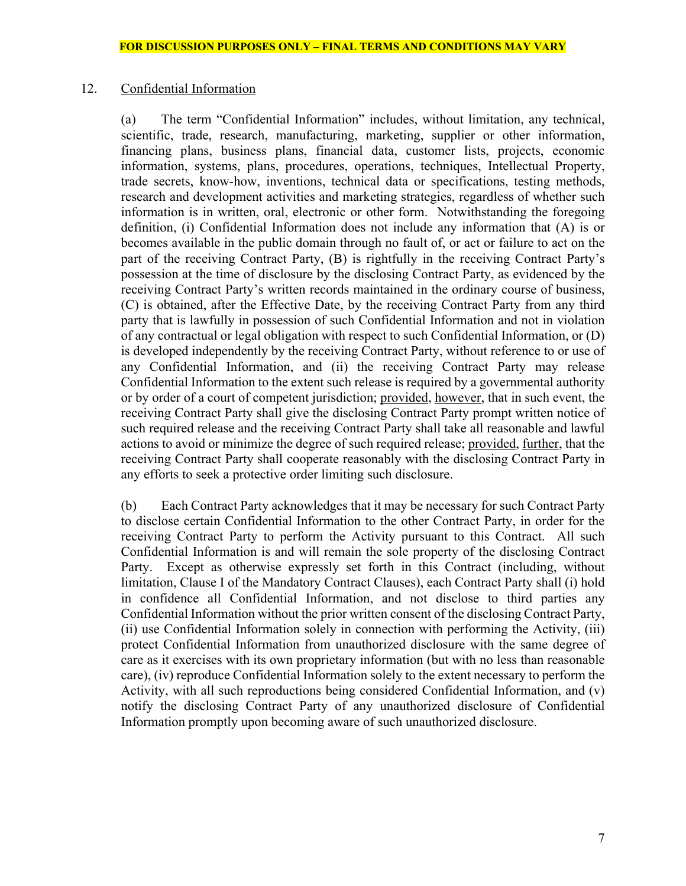### 12. Confidential Information

(a) The term "Confidential Information" includes, without limitation, any technical, scientific, trade, research, manufacturing, marketing, supplier or other information, financing plans, business plans, financial data, customer lists, projects, economic information, systems, plans, procedures, operations, techniques, Intellectual Property, trade secrets, know-how, inventions, technical data or specifications, testing methods, research and development activities and marketing strategies, regardless of whether such information is in written, oral, electronic or other form. Notwithstanding the foregoing definition, (i) Confidential Information does not include any information that (A) is or becomes available in the public domain through no fault of, or act or failure to act on the part of the receiving Contract Party, (B) is rightfully in the receiving Contract Party's possession at the time of disclosure by the disclosing Contract Party, as evidenced by the receiving Contract Party's written records maintained in the ordinary course of business, (C) is obtained, after the Effective Date, by the receiving Contract Party from any third party that is lawfully in possession of such Confidential Information and not in violation of any contractual or legal obligation with respect to such Confidential Information, or (D) is developed independently by the receiving Contract Party, without reference to or use of any Confidential Information, and (ii) the receiving Contract Party may release Confidential Information to the extent such release is required by a governmental authority or by order of a court of competent jurisdiction; provided, however, that in such event, the receiving Contract Party shall give the disclosing Contract Party prompt written notice of such required release and the receiving Contract Party shall take all reasonable and lawful actions to avoid or minimize the degree of such required release; provided, further, that the receiving Contract Party shall cooperate reasonably with the disclosing Contract Party in any efforts to seek a protective order limiting such disclosure.

(b) Each Contract Party acknowledges that it may be necessary for such Contract Party to disclose certain Confidential Information to the other Contract Party, in order for the receiving Contract Party to perform the Activity pursuant to this Contract. All such Confidential Information is and will remain the sole property of the disclosing Contract Party. Except as otherwise expressly set forth in this Contract (including, without limitation, Clause I of the Mandatory Contract Clauses), each Contract Party shall (i) hold in confidence all Confidential Information, and not disclose to third parties any Confidential Information without the prior written consent of the disclosing Contract Party, (ii) use Confidential Information solely in connection with performing the Activity, (iii) protect Confidential Information from unauthorized disclosure with the same degree of care as it exercises with its own proprietary information (but with no less than reasonable care), (iv) reproduce Confidential Information solely to the extent necessary to perform the Activity, with all such reproductions being considered Confidential Information, and (v) notify the disclosing Contract Party of any unauthorized disclosure of Confidential Information promptly upon becoming aware of such unauthorized disclosure.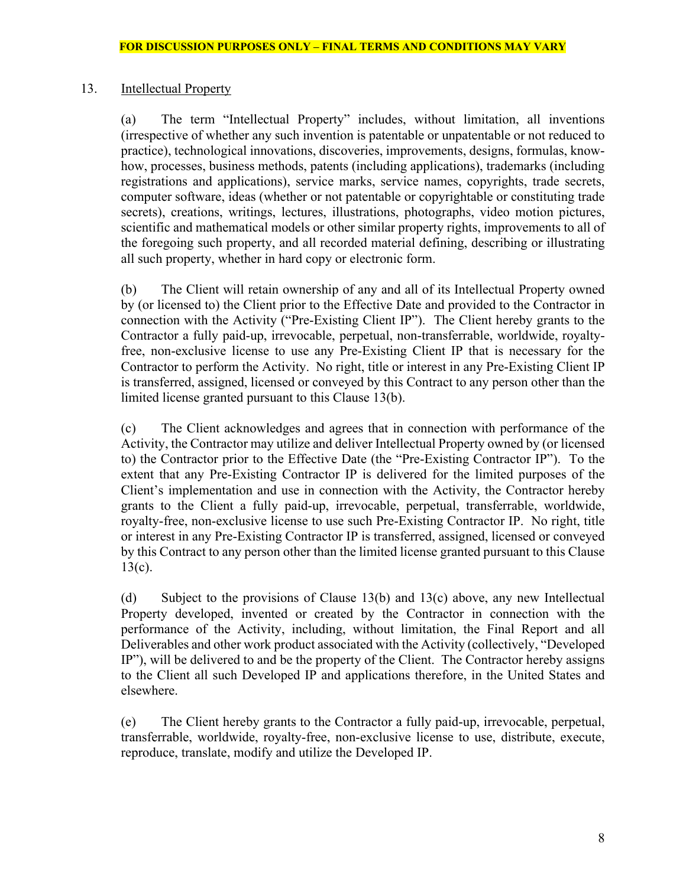## 13. Intellectual Property

(a) The term "Intellectual Property" includes, without limitation, all inventions (irrespective of whether any such invention is patentable or unpatentable or not reduced to practice), technological innovations, discoveries, improvements, designs, formulas, knowhow, processes, business methods, patents (including applications), trademarks (including registrations and applications), service marks, service names, copyrights, trade secrets, computer software, ideas (whether or not patentable or copyrightable or constituting trade secrets), creations, writings, lectures, illustrations, photographs, video motion pictures, scientific and mathematical models or other similar property rights, improvements to all of the foregoing such property, and all recorded material defining, describing or illustrating all such property, whether in hard copy or electronic form.

(b) The Client will retain ownership of any and all of its Intellectual Property owned by (or licensed to) the Client prior to the Effective Date and provided to the Contractor in connection with the Activity ("Pre-Existing Client IP"). The Client hereby grants to the Contractor a fully paid-up, irrevocable, perpetual, non-transferrable, worldwide, royaltyfree, non-exclusive license to use any Pre-Existing Client IP that is necessary for the Contractor to perform the Activity. No right, title or interest in any Pre-Existing Client IP is transferred, assigned, licensed or conveyed by this Contract to any person other than the limited license granted pursuant to this Clause 13(b).

(c) The Client acknowledges and agrees that in connection with performance of the Activity, the Contractor may utilize and deliver Intellectual Property owned by (or licensed to) the Contractor prior to the Effective Date (the "Pre-Existing Contractor IP"). To the extent that any Pre-Existing Contractor IP is delivered for the limited purposes of the Client's implementation and use in connection with the Activity, the Contractor hereby grants to the Client a fully paid-up, irrevocable, perpetual, transferrable, worldwide, royalty-free, non-exclusive license to use such Pre-Existing Contractor IP. No right, title or interest in any Pre-Existing Contractor IP is transferred, assigned, licensed or conveyed by this Contract to any person other than the limited license granted pursuant to this Clause 13(c).

(d) Subject to the provisions of Clause 13(b) and 13(c) above, any new Intellectual Property developed, invented or created by the Contractor in connection with the performance of the Activity, including, without limitation, the Final Report and all Deliverables and other work product associated with the Activity (collectively, "Developed IP"), will be delivered to and be the property of the Client. The Contractor hereby assigns to the Client all such Developed IP and applications therefore, in the United States and elsewhere.

(e) The Client hereby grants to the Contractor a fully paid-up, irrevocable, perpetual, transferrable, worldwide, royalty-free, non-exclusive license to use, distribute, execute, reproduce, translate, modify and utilize the Developed IP.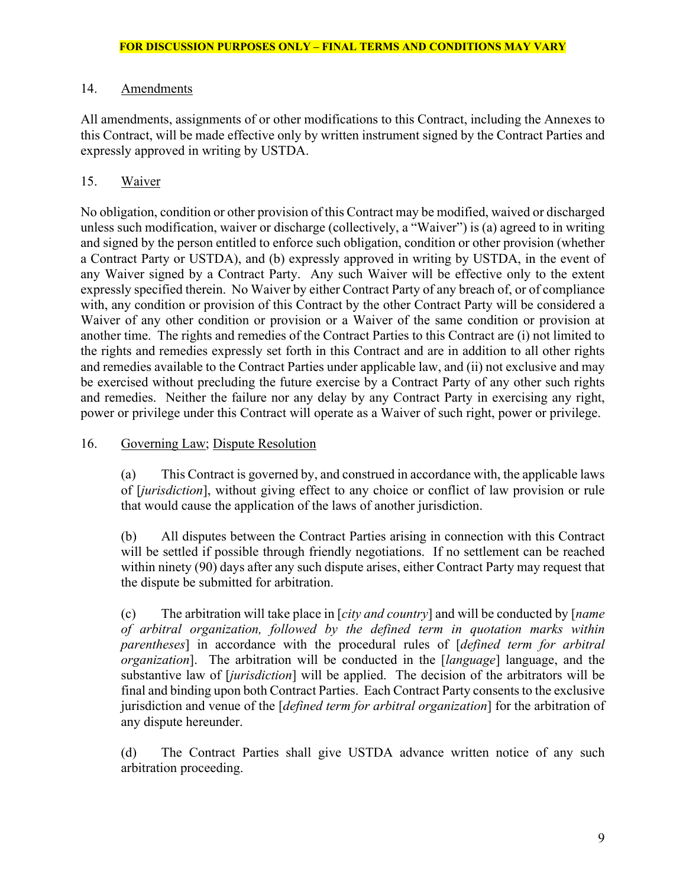## 14. Amendments

All amendments, assignments of or other modifications to this Contract, including the Annexes to this Contract, will be made effective only by written instrument signed by the Contract Parties and expressly approved in writing by USTDA.

# 15. Waiver

No obligation, condition or other provision of this Contract may be modified, waived or discharged unless such modification, waiver or discharge (collectively, a "Waiver") is (a) agreed to in writing and signed by the person entitled to enforce such obligation, condition or other provision (whether a Contract Party or USTDA), and (b) expressly approved in writing by USTDA, in the event of any Waiver signed by a Contract Party. Any such Waiver will be effective only to the extent expressly specified therein. No Waiver by either Contract Party of any breach of, or of compliance with, any condition or provision of this Contract by the other Contract Party will be considered a Waiver of any other condition or provision or a Waiver of the same condition or provision at another time. The rights and remedies of the Contract Parties to this Contract are (i) not limited to the rights and remedies expressly set forth in this Contract and are in addition to all other rights and remedies available to the Contract Parties under applicable law, and (ii) not exclusive and may be exercised without precluding the future exercise by a Contract Party of any other such rights and remedies. Neither the failure nor any delay by any Contract Party in exercising any right, power or privilege under this Contract will operate as a Waiver of such right, power or privilege.

## 16. Governing Law; Dispute Resolution

(a) This Contract is governed by, and construed in accordance with, the applicable laws of [*jurisdiction*], without giving effect to any choice or conflict of law provision or rule that would cause the application of the laws of another jurisdiction.

(b) All disputes between the Contract Parties arising in connection with this Contract will be settled if possible through friendly negotiations. If no settlement can be reached within ninety (90) days after any such dispute arises, either Contract Party may request that the dispute be submitted for arbitration.

(c) The arbitration will take place in [*city and country*] and will be conducted by [*name of arbitral organization, followed by the defined term in quotation marks within parentheses*] in accordance with the procedural rules of [*defined term for arbitral organization*]. The arbitration will be conducted in the [*language*] language, and the substantive law of [*jurisdiction*] will be applied. The decision of the arbitrators will be final and binding upon both Contract Parties. Each Contract Party consents to the exclusive jurisdiction and venue of the [*defined term for arbitral organization*] for the arbitration of any dispute hereunder.

(d) The Contract Parties shall give USTDA advance written notice of any such arbitration proceeding.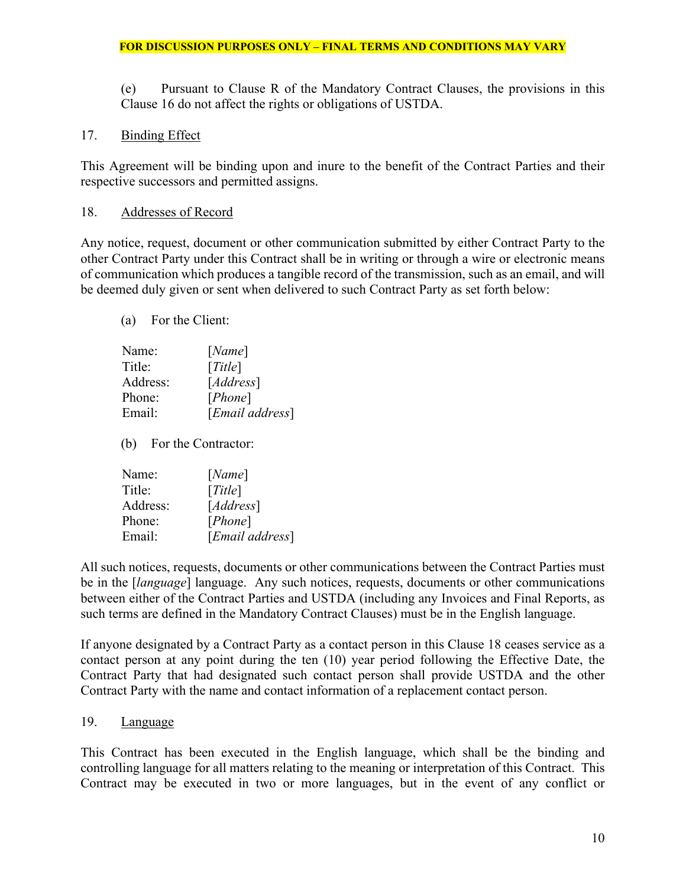(e) Pursuant to Clause R of the Mandatory Contract Clauses, the provisions in this Clause 16 do not affect the rights or obligations of USTDA.

17. Binding Effect

This Agreement will be binding upon and inure to the benefit of the Contract Parties and their respective successors and permitted assigns.

### 18. Addresses of Record

Any notice, request, document or other communication submitted by either Contract Party to the other Contract Party under this Contract shall be in writing or through a wire or electronic means of communication which produces a tangible record of the transmission, such as an email, and will be deemed duly given or sent when delivered to such Contract Party as set forth below:

### (a) For the Client:

| Name:    | [Name]          |
|----------|-----------------|
| Title:   | [Title]         |
| Address: | [Address]       |
| Phone:   | [Phone]         |
| Email:   | [Email address] |
|          |                 |

(b) For the Contractor:

| Name:    | [Name]                   |
|----------|--------------------------|
| Title:   | [Title]                  |
| Address: | [Address]                |
| Phone:   | [Phone]                  |
| Email:   | [ <i>Email address</i> ] |

All such notices, requests, documents or other communications between the Contract Parties must be in the [*language*] language. Any such notices, requests, documents or other communications between either of the Contract Parties and USTDA (including any Invoices and Final Reports, as such terms are defined in the Mandatory Contract Clauses) must be in the English language.

If anyone designated by a Contract Party as a contact person in this Clause 18 ceases service as a contact person at any point during the ten (10) year period following the Effective Date, the Contract Party that had designated such contact person shall provide USTDA and the other Contract Party with the name and contact information of a replacement contact person.

### 19. Language

This Contract has been executed in the English language, which shall be the binding and controlling language for all matters relating to the meaning or interpretation of this Contract. This Contract may be executed in two or more languages, but in the event of any conflict or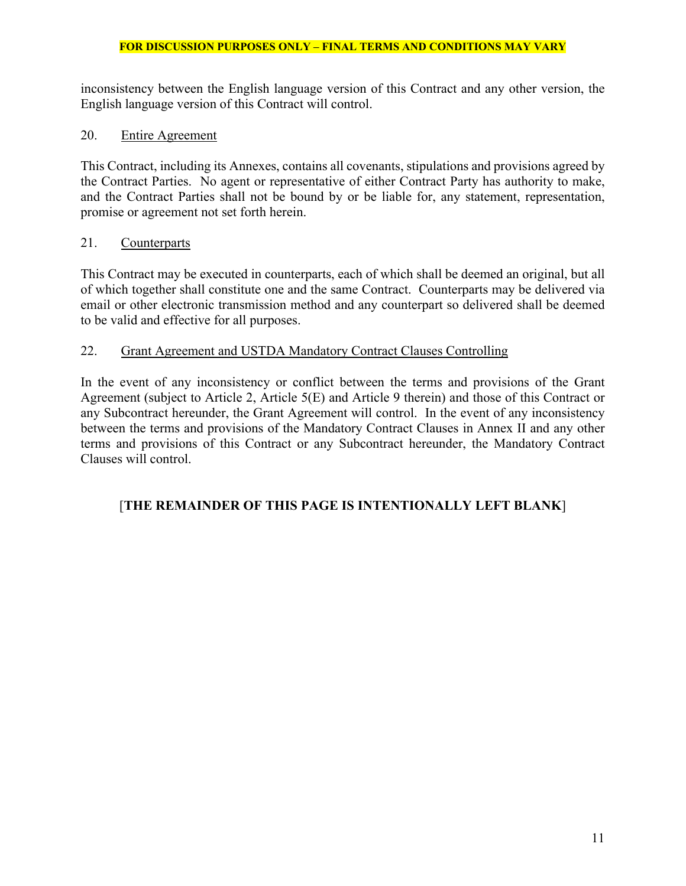inconsistency between the English language version of this Contract and any other version, the English language version of this Contract will control.

## 20. Entire Agreement

This Contract, including its Annexes, contains all covenants, stipulations and provisions agreed by the Contract Parties. No agent or representative of either Contract Party has authority to make, and the Contract Parties shall not be bound by or be liable for, any statement, representation, promise or agreement not set forth herein.

## 21. Counterparts

This Contract may be executed in counterparts, each of which shall be deemed an original, but all of which together shall constitute one and the same Contract. Counterparts may be delivered via email or other electronic transmission method and any counterpart so delivered shall be deemed to be valid and effective for all purposes.

## 22. Grant Agreement and USTDA Mandatory Contract Clauses Controlling

In the event of any inconsistency or conflict between the terms and provisions of the Grant Agreement (subject to Article 2, Article 5(E) and Article 9 therein) and those of this Contract or any Subcontract hereunder, the Grant Agreement will control. In the event of any inconsistency between the terms and provisions of the Mandatory Contract Clauses in Annex II and any other terms and provisions of this Contract or any Subcontract hereunder, the Mandatory Contract Clauses will control.

# [**THE REMAINDER OF THIS PAGE IS INTENTIONALLY LEFT BLANK**]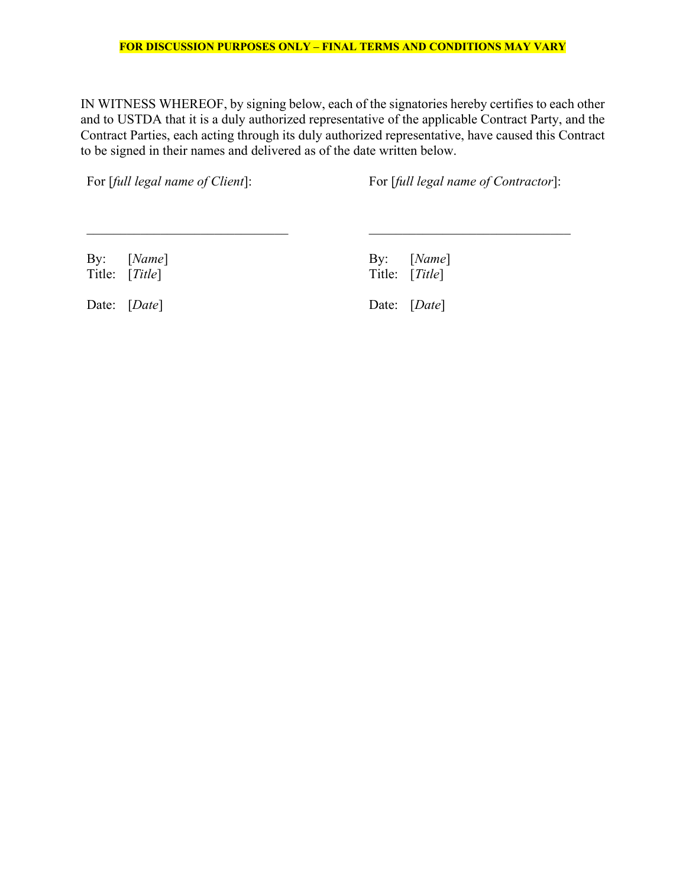IN WITNESS WHEREOF, by signing below, each of the signatories hereby certifies to each other and to USTDA that it is a duly authorized representative of the applicable Contract Party, and the Contract Parties, each acting through its duly authorized representative, have caused this Contract to be signed in their names and delivered as of the date written below.

For [*full legal name of Client*]: For [*full legal name of Contractor*]:

Date: [*Date*] Date: [*Date*]

By: [*Name*] By: [*Name*] By: [*Name*] By: [*Name*] By: [*Ritle*] By: [*Ritle*] Title: [*Title*]